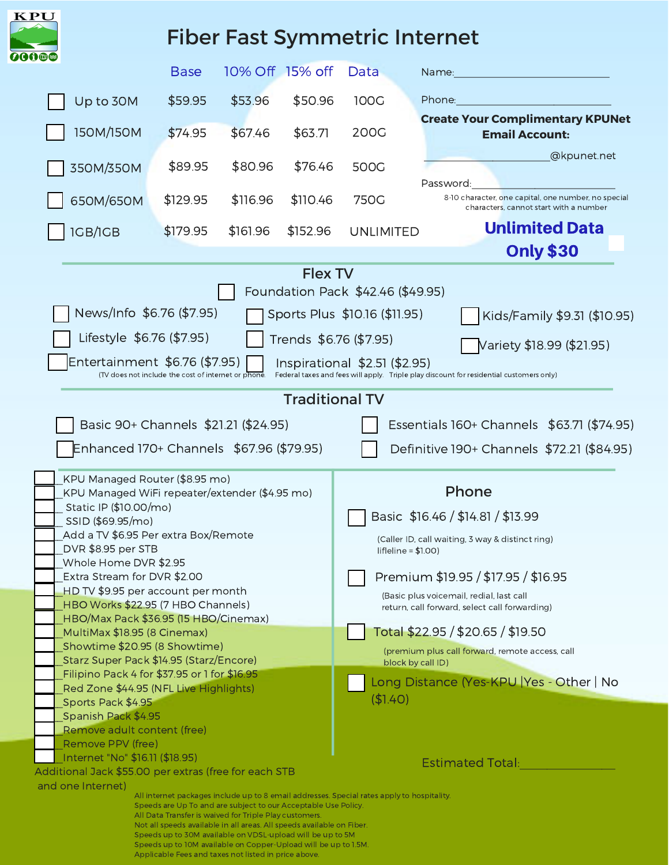| <b>KPU</b>                                                                                                                                                                                                                                                                                                                                                                                        |             |                                                                                                                                                              |                         |                                                                      |                                                                                                            |  |
|---------------------------------------------------------------------------------------------------------------------------------------------------------------------------------------------------------------------------------------------------------------------------------------------------------------------------------------------------------------------------------------------------|-------------|--------------------------------------------------------------------------------------------------------------------------------------------------------------|-------------------------|----------------------------------------------------------------------|------------------------------------------------------------------------------------------------------------|--|
| 200®                                                                                                                                                                                                                                                                                                                                                                                              |             |                                                                                                                                                              |                         |                                                                      | <b>Fiber Fast Symmetric Internet</b>                                                                       |  |
|                                                                                                                                                                                                                                                                                                                                                                                                   | <b>Base</b> | 10% Off 15% off                                                                                                                                              |                         | Data                                                                 | Name:                                                                                                      |  |
| Up to 30M                                                                                                                                                                                                                                                                                                                                                                                         | \$59.95     | \$53.96                                                                                                                                                      | \$50.96                 | 100G                                                                 | Phone:                                                                                                     |  |
| 150M/150M                                                                                                                                                                                                                                                                                                                                                                                         | \$74.95     | \$67.46                                                                                                                                                      | \$63.71                 | 200G                                                                 | <b>Create Your Complimentary KPUNet</b><br><b>Email Account:</b>                                           |  |
| 350M/350M                                                                                                                                                                                                                                                                                                                                                                                         | \$89.95     | \$80.96                                                                                                                                                      | \$76.46                 | 500G                                                                 | @kpunet.net                                                                                                |  |
| 650M/650M                                                                                                                                                                                                                                                                                                                                                                                         | \$129.95    | \$116.96                                                                                                                                                     | \$110.46                | 750G                                                                 | Password:<br>8-10 character, one capital, one number, no special<br>characters, cannot start with a number |  |
| <b>IGB/IGB</b>                                                                                                                                                                                                                                                                                                                                                                                    | \$179.95    | \$161.96                                                                                                                                                     | \$152.96                | <b>UNLIMITED</b>                                                     | <b>Unlimited Data</b>                                                                                      |  |
|                                                                                                                                                                                                                                                                                                                                                                                                   |             |                                                                                                                                                              |                         |                                                                      | <b>Only \$30</b>                                                                                           |  |
| News/Info \$6.76 (\$7.95)<br>Sports Plus \$10.16 (\$11.95)<br>Kids/Family \$9.31 (\$10.95)<br>Lifestyle \$6.76 (\$7.95)<br>Trends \$6.76 (\$7.95)<br>Variety \$18.99 (\$21.95)<br>Entertainment \$6.76 (\$7.95)<br>Inspirational \$2.51 (\$2.95)<br>Federal taxes and fees will apply. Triple play discount for residential customers only)<br>(TV does not include the cost of internet or phone |             |                                                                                                                                                              |                         |                                                                      |                                                                                                            |  |
|                                                                                                                                                                                                                                                                                                                                                                                                   |             |                                                                                                                                                              | <b>Traditional TV</b>   |                                                                      |                                                                                                            |  |
|                                                                                                                                                                                                                                                                                                                                                                                                   |             |                                                                                                                                                              |                         |                                                                      |                                                                                                            |  |
| Basic 90+ Channels \$21.21 (\$24.95)                                                                                                                                                                                                                                                                                                                                                              |             |                                                                                                                                                              |                         |                                                                      | Essentials 160+ Channels \$63.71 (\$74.95)                                                                 |  |
| Enhanced 170+ Channels \$67.96 (\$79.95)                                                                                                                                                                                                                                                                                                                                                          |             |                                                                                                                                                              |                         |                                                                      | Definitive 190+ Channels \$72.21 (\$84.95)                                                                 |  |
| KPU Managed Router (\$8.95 mo)<br>KPU Managed WiFi repeater/extender (\$4.95 mo)                                                                                                                                                                                                                                                                                                                  |             |                                                                                                                                                              |                         | Phone                                                                |                                                                                                            |  |
| Static IP (\$10.00/mo)<br>SSID (\$69.95/mo)                                                                                                                                                                                                                                                                                                                                                       |             |                                                                                                                                                              |                         | Basic \$16.46 / \$14.81 / \$13.99                                    |                                                                                                            |  |
| Add a TV \$6.95 Per extra Box/Remote                                                                                                                                                                                                                                                                                                                                                              |             |                                                                                                                                                              |                         | (Caller ID, call waiting, 3 way & distinct ring)                     |                                                                                                            |  |
| DVR \$8.95 per STB                                                                                                                                                                                                                                                                                                                                                                                |             |                                                                                                                                                              |                         | $lif$ eline = \$1.00)                                                |                                                                                                            |  |
| Whole Home DVR \$2.95<br>Extra Stream for DVR \$2.00                                                                                                                                                                                                                                                                                                                                              |             |                                                                                                                                                              |                         | Premium \$19.95 / \$17.95 / \$16.95                                  |                                                                                                            |  |
| HD TV \$9.95 per account per month                                                                                                                                                                                                                                                                                                                                                                |             |                                                                                                                                                              |                         | (Basic plus voicemail, redial, last call                             |                                                                                                            |  |
| HBO Works \$22.95 (7 HBO Channels)                                                                                                                                                                                                                                                                                                                                                                |             |                                                                                                                                                              |                         | return, call forward, select call forwarding)                        |                                                                                                            |  |
| HBO/Max Pack \$36.95 (15 HBO/Cinemax)<br>MultiMax \$18.95 (8 Cinemax)                                                                                                                                                                                                                                                                                                                             |             |                                                                                                                                                              |                         | Total \$22.95 / \$20.65 / \$19.50                                    |                                                                                                            |  |
| Showtime \$20.95 (8 Showtime)                                                                                                                                                                                                                                                                                                                                                                     |             |                                                                                                                                                              |                         | (premium plus call forward, remote access, call<br>block by call ID) |                                                                                                            |  |
| Starz Super Pack \$14.95 (Starz/Encore)                                                                                                                                                                                                                                                                                                                                                           |             |                                                                                                                                                              |                         |                                                                      |                                                                                                            |  |
| Filipino Pack 4 for \$37.95 or 1 for \$16.95                                                                                                                                                                                                                                                                                                                                                      |             |                                                                                                                                                              |                         | Long Distance (Yes-KPU   Yes - Other   No                            |                                                                                                            |  |
| Red Zone \$44.95 (NFL Live Highlights)<br>Sports Pack \$4.95                                                                                                                                                                                                                                                                                                                                      |             |                                                                                                                                                              | (\$1.40)                |                                                                      |                                                                                                            |  |
| Spanish Pack \$4.95                                                                                                                                                                                                                                                                                                                                                                               |             |                                                                                                                                                              |                         |                                                                      |                                                                                                            |  |
| Remove adult content (free)                                                                                                                                                                                                                                                                                                                                                                       |             |                                                                                                                                                              |                         |                                                                      |                                                                                                            |  |
| Remove PPV (free)<br>Internet "No" \$16.11 (\$18.95)                                                                                                                                                                                                                                                                                                                                              |             |                                                                                                                                                              |                         |                                                                      |                                                                                                            |  |
| Additional Jack \$55.00 per extras (free for each STB                                                                                                                                                                                                                                                                                                                                             |             |                                                                                                                                                              | <b>Estimated Total:</b> |                                                                      |                                                                                                            |  |
| and one Internet)                                                                                                                                                                                                                                                                                                                                                                                 |             |                                                                                                                                                              |                         |                                                                      |                                                                                                            |  |
|                                                                                                                                                                                                                                                                                                                                                                                                   |             | All internet packages include up to 8 email addresses. Special rates apply to hospitality.<br>Speeds are Up To and are subject to our Acceptable Use Policy. |                         |                                                                      |                                                                                                            |  |
|                                                                                                                                                                                                                                                                                                                                                                                                   |             | All Data Transfer is waived for Triple Play customers.<br>Not all speeds available in all areas. All speeds available on Fiber.                              |                         |                                                                      |                                                                                                            |  |
| Speeds up to 30M available on VDSL-upload will be up to 5M<br>Speeds up to 10M available on Copper-Upload will be up to 1.5M.                                                                                                                                                                                                                                                                     |             |                                                                                                                                                              |                         |                                                                      |                                                                                                            |  |
| Applicable Fees and taxes not listed in price above.                                                                                                                                                                                                                                                                                                                                              |             |                                                                                                                                                              |                         |                                                                      |                                                                                                            |  |